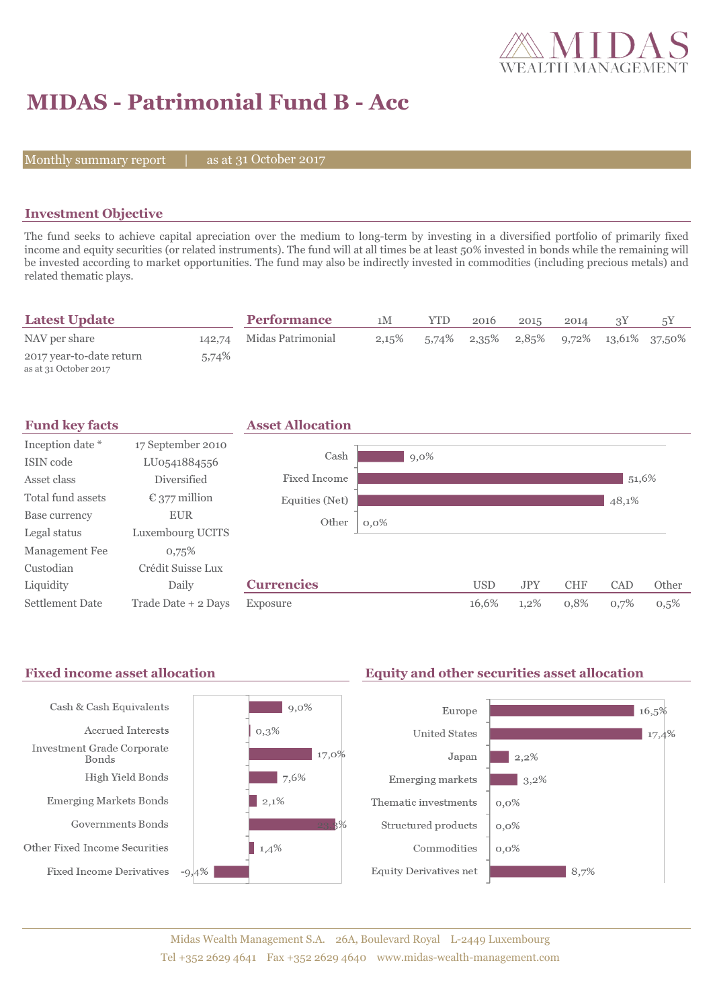

# **MIDAS - Patrimonial Fund B - Acc**

Monthly summary report  $|$ 

31 October 2017

## **Investment Objective**

The fund seeks to achieve capital apreciation over the medium to long-term by investing in a diversified portfolio of primarily fixed income and equity securities (or related instruments). The fund will at all times be at least 50% invested in bonds while the remaining will be invested according to market opportunities. The fund may also be indirectly invested in commodities (including precious metals) and related thematic plays.

| <b>Latest Update</b>                              |       | <b>Performance</b>       | 1M    | YTD   | 2016 | 2015 | 2014 |                                                |  |
|---------------------------------------------------|-------|--------------------------|-------|-------|------|------|------|------------------------------------------------|--|
| NAV per share                                     |       | 142,74 Midas Patrimonial | 2,15% | 5,74% |      |      |      | $2,35\%$ $2,85\%$ $9,72\%$ $13,61\%$ $37,50\%$ |  |
| 2017 year-to-date return<br>as at 31 October 2017 | 5,74% |                          |       |       |      |      |      |                                                |  |



#### Fixed income asset allocation **Equity and other securities asset allocation** Cash & Cash Equivalents  $\vert$  9,0% Europe  $16,5%$ Accrued Interests  $0.3%$ **United States**  $17,4%$ Investment Grade Corporate  $17,0\%$ Japan  $12.2\%$ Bonds High Yield Bonds  $7,6%$ Emerging markets  $3,2\%$ **Emerging Markets Bonds**  $\vert$  2,1% Thematic investments  $0,0\%$ Governments Bonds Structured products  $0,0\%$ Other Fixed Income Securities  $1,4%$ Commodities  $0.0\%$ **Fixed Income Derivatives**  $-9,4%$ **Equity Derivatives net**  $8,7%$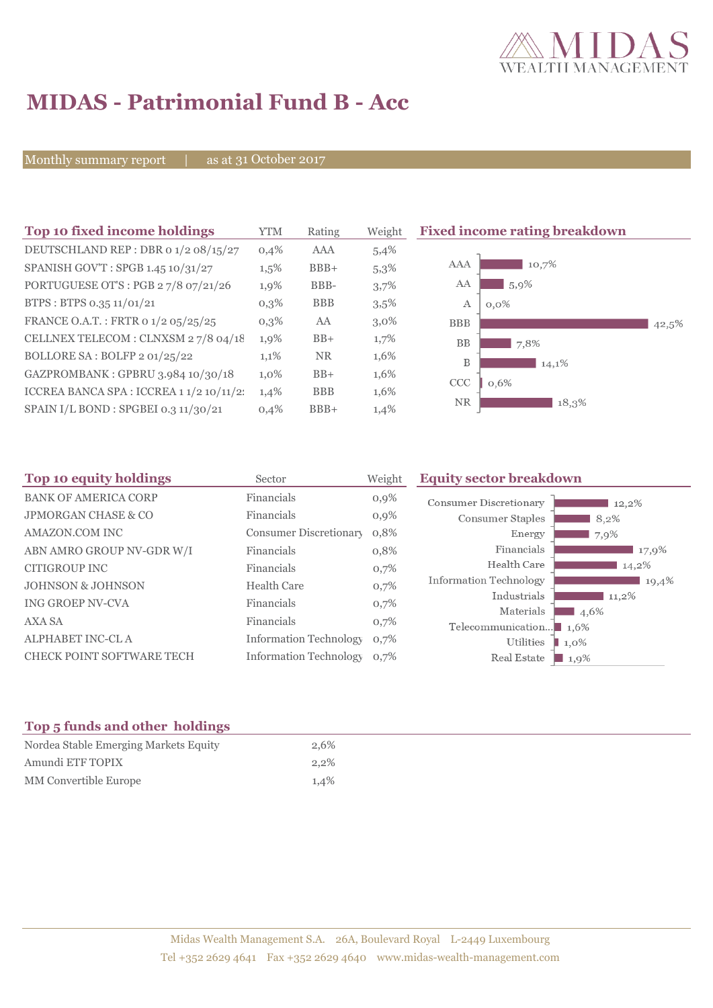

# **MIDAS - Patrimonial Fund B - Acc**

Monthly summary report | as at 31 October 2017

| Top 10 fixed income holdings             | YTM     | Rating     | Weight  | <b>Fixed income rating breakdown</b> |
|------------------------------------------|---------|------------|---------|--------------------------------------|
| DEUTSCHLAND REP : DBR 0 1/2 08/15/27     | 0,4%    | AAA        | 5,4%    |                                      |
| SPANISH GOV'T: SPGB 1.45 10/31/27        | $1,5\%$ | $BBB+$     | 5,3%    | <b>AAA</b><br>10,7%                  |
| PORTUGUESE OT'S : PGB 27/8 07/21/26      | 1,9%    | BBB-       | 3,7%    | AA<br>5,9%                           |
| BTPS: BTPS 0.35 11/01/21                 | $0,3\%$ | <b>BBB</b> | 3,5%    | A<br>$0.0\%$                         |
| FRANCE O.A.T.: FRTR 0 1/2 05/25/25       | $0,3\%$ | AA         | $3,0\%$ | <b>BBB</b><br>42,5%                  |
| CELLNEX TELECOM : CLNXSM 27/8 04/18      | 1,9%    | $BB+$      | 1,7%    | <b>BB</b><br>7,8%                    |
| BOLLORE SA: BOLFP 2 01/25/22             | 1,1%    | <b>NR</b>  | 1,6%    | B<br>14,1%                           |
| GAZPROMBANK: GPBRU 3.984 10/30/18        | $1,0\%$ | $BB+$      | 1,6%    | <b>CCC</b><br>0,6%                   |
| ICCREA BANCA SPA : ICCREA 1 1/2 10/11/2: | 1,4%    | <b>BBB</b> | 1,6%    |                                      |
| SPAIN I/L BOND : SPGBEI 0.3 11/30/21     | 0,4%    | $BBB+$     | 1,4%    | NR<br>18,3%                          |

| Top 10 equity holdings<br>Sector |                               | Weight  | <b>Equity sector breakdown</b>                     |                     |  |
|----------------------------------|-------------------------------|---------|----------------------------------------------------|---------------------|--|
| <b>BANK OF AMERICA CORP</b>      | Financials                    | $0,9\%$ | Consumer Discretionary                             | 12,2%               |  |
| <b>JPMORGAN CHASE &amp; CO</b>   | Financials                    | 0,9%    | Consumer Staples                                   | 8,2%                |  |
| <b>AMAZON.COM INC</b>            | Consumer Discretionary        | 0,8%    | Energy                                             | 7,9%                |  |
| ABN AMRO GROUP NV-GDR W/I        | Financials                    | 0,8%    | Financials                                         | 17,9%               |  |
| CITIGROUP INC                    | Financials                    | 0,7%    | Health Care                                        | 14,2%               |  |
| <b>JOHNSON &amp; JOHNSON</b>     | <b>Health Care</b>            | 0,7%    | <b>Information Technology</b>                      | 19,4%               |  |
| ING GROEP NV-CVA                 | Financials                    | 0,7%    | Industrials                                        | $11,2\%$            |  |
| AXA SA                           | Financials                    | 0,7%    | Materials<br>Telecommunication $\blacksquare$ 1,6% | 4,6%                |  |
| ALPHABET INC-CL A                | <b>Information Technology</b> | 0,7%    | Utilities                                          | $\blacksquare$ 1,0% |  |
| <b>CHECK POINT SOFTWARE TECH</b> | <b>Information Technology</b> | 0.7%    | Real Estate                                        | 1,9%                |  |

# **Top 5 funds and other holdings**

| Nordea Stable Emerging Markets Equity | 2,6%    |
|---------------------------------------|---------|
| Amundi ETF TOPIX                      | 2.2%    |
| MM Convertible Europe                 | $1.4\%$ |